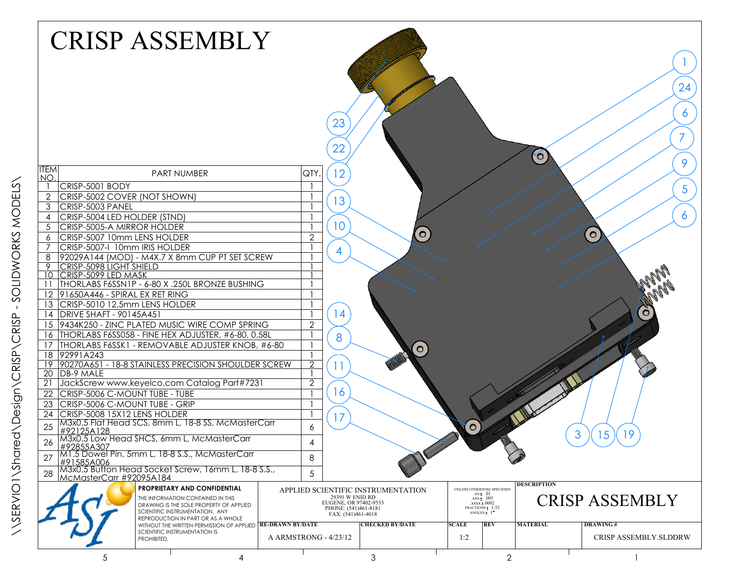|                 | <b>CRISP ASSEMBLY</b>                                                                                           |                | 23<br>22                                                                               |                                    |                                                                         |                            | $\bullet$             | 24<br>6<br>9                 |
|-----------------|-----------------------------------------------------------------------------------------------------------------|----------------|----------------------------------------------------------------------------------------|------------------------------------|-------------------------------------------------------------------------|----------------------------|-----------------------|------------------------------|
| <b>ITEM</b>     | <b>PART NUMBER</b>                                                                                              | QTY.           | 12                                                                                     |                                    |                                                                         |                            |                       |                              |
| NO.             | CRISP-5001 BODY                                                                                                 |                |                                                                                        |                                    |                                                                         |                            |                       |                              |
| $\overline{2}$  | CRISP-5002 COVER (NOT SHOWN)                                                                                    |                |                                                                                        |                                    |                                                                         |                            |                       | 5                            |
| 3               | CRISP-5003 PANEL                                                                                                |                | 13                                                                                     |                                    |                                                                         |                            |                       |                              |
| 4               | CRISP-5004 LED HOLDER (STND)                                                                                    |                |                                                                                        |                                    |                                                                         |                            |                       | 6                            |
| 5               | CRISP-5005-A MIRROR HOLDER                                                                                      |                | 10                                                                                     |                                    |                                                                         |                            |                       |                              |
| 6               | CRISP-5007 10mm LENS HOLDER                                                                                     | $\overline{2}$ |                                                                                        | $\sigma$                           |                                                                         |                            |                       | $\circ$                      |
|                 | CRISP-5007-I 10mm IRIS HOLDER                                                                                   |                | $\overline{4}$                                                                         |                                    |                                                                         |                            |                       |                              |
| 8               | 92029A144 (MOD) - M4X.7 X 8mm CUP PT SET SCREW                                                                  |                |                                                                                        |                                    |                                                                         |                            |                       |                              |
|                 | 9 CRISP-5098 LIGHT SHIELD<br>10 CRISP-5099 LED MASK                                                             |                |                                                                                        |                                    |                                                                         |                            |                       |                              |
|                 | 11   THORLABS F6SSN1P - 6-80 X .250L BRONZE BUSHING                                                             |                |                                                                                        |                                    |                                                                         |                            |                       |                              |
|                 | 12 91650A446 - SPIRAL EX RET RING                                                                               |                |                                                                                        |                                    |                                                                         |                            |                       |                              |
|                 | 13 CRISP-5010 12.5mm LENS HOLDER                                                                                |                |                                                                                        |                                    |                                                                         |                            |                       |                              |
|                 | 14   DRIVE SHAFT - 90145A451                                                                                    |                | 14                                                                                     |                                    |                                                                         |                            |                       | $\ddot{\mathbf{C}}$          |
|                 | 15 9434K250 - ZINC PLATED MUSIC WIRE COMP SPRING                                                                | $\overline{2}$ |                                                                                        |                                    |                                                                         |                            |                       |                              |
|                 | 16   THORLABS F6SS058 - FINE HEX ADJUSTER, #6-80, 0.58L                                                         |                | 8                                                                                      |                                    |                                                                         |                            |                       |                              |
| 17              | THORLABS F6SSK1 - REMOVABLE ADJUSTER KNOB, #6-80                                                                |                |                                                                                        | $\bullet$                          |                                                                         |                            |                       |                              |
|                 | 18 92991A243                                                                                                    |                |                                                                                        |                                    |                                                                         |                            |                       |                              |
|                 | 19 90270A651 - 18-8 STAINLESS PRECISION SHOULDER SCREW                                                          | $\overline{2}$ |                                                                                        |                                    |                                                                         |                            |                       |                              |
|                 | 20 DB-9 MALE                                                                                                    |                |                                                                                        |                                    |                                                                         |                            |                       |                              |
| $\overline{21}$ | JackScrew www.keyelco.com Catalog Part#7231                                                                     | $\overline{2}$ | 16                                                                                     |                                    |                                                                         |                            |                       |                              |
| 22              | CRISP-5006 C-MOUNT TUBE - TUBE                                                                                  |                |                                                                                        |                                    |                                                                         |                            |                       |                              |
| 23              | CRISP-5006 C-MOUNT TUBE - GRIP                                                                                  |                |                                                                                        |                                    |                                                                         |                            |                       |                              |
| 24              | CRISP-5008 15X12 LENS HOLDER                                                                                    |                | 17                                                                                     |                                    |                                                                         |                            |                       |                              |
| 25              | M3x0.5 Flat Head SCS, 8mm L, 18-8 SS, McMasterCarr<br>#92125A128                                                | 6              |                                                                                        |                                    | $\circ$                                                                 |                            |                       | 3<br>19<br>15                |
| 26              | M3x0.5 Low Head SHCS, 6mm L, McMasterCarr<br>#92855A307<br>M1.5 Dowel Pin, 5mm L, 18-8 S.S., McMasterCarr       | 4              |                                                                                        |                                    |                                                                         |                            |                       |                              |
| 27              | #91585A006                                                                                                      | 8              |                                                                                        |                                    |                                                                         |                            |                       |                              |
| 28              | M3x0.5 Button Head Socket Screw, 16mm L, 18-8 S.S.,<br>McMasterCarr #92095A184                                  | 5              |                                                                                        |                                    |                                                                         |                            |                       |                              |
|                 | <b>PROPRIETARY AND CONFIDENTIAL</b>                                                                             |                |                                                                                        | APPLIED SCIENTIFIC INSTRUMENTATION |                                                                         | UNLESS OTHERWISE SPECIFIED | <b>DESCRIPTION</b>    |                              |
|                 | THE INFORMATION CONTAINED IN THIS<br>DRAWING IS THE SOLE PROPERTY OF APPLIED<br>SCIENTIFIC INSTRUMENTATION. ANY |                | 29391 W ENID RD<br>EUGENE, OR 97402-9533<br>PHONE: (541)461-8181<br>FAX: (541)461-4018 |                                    | $.xx \pm .01$<br>$\frac{0.05}{0.0002}$<br>FRACTIONS: 1/32<br>ANGLES: 1* |                            | <b>CRISP ASSEMBLY</b> |                              |
|                 | REPRODUCTION IN PART OR AS A WHOLE<br>WITHOUT THE WRITTEN PERMISSION OF APPLIED <b>RE-DRAWN BY/DATE</b>         |                |                                                                                        | <b>CHECKED BY/DATE</b>             | <b>SCALE</b>                                                            | <b>REV</b>                 | <b>MATERIAL</b>       | <b>DRAWING#</b>              |
|                 | SCIENTIFIC INSTRUMENTATION IS<br>PROHIBITED.                                                                    |                | A ARMSTRONG - 4/23/12                                                                  |                                    | 1:2                                                                     |                            |                       | <b>CRISP ASSEMBLY SLDDRW</b> |
|                 | 5<br>4                                                                                                          |                |                                                                                        | 3                                  |                                                                         | $\overline{2}$             |                       |                              |